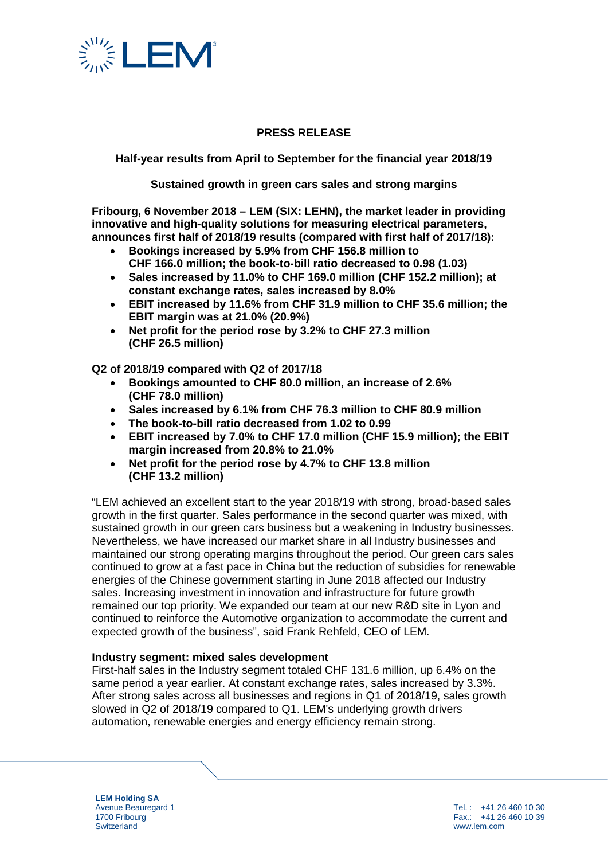

# **PRESS RELEASE**

**Half-year results from April to September for the financial year 2018/19**

**Sustained growth in green cars sales and strong margins**

**Fribourg, 6 November 2018 – LEM (SIX: LEHN), the market leader in providing innovative and high-quality solutions for measuring electrical parameters, announces first half of 2018/19 results (compared with first half of 2017/18):** 

- **Bookings increased by 5.9% from CHF 156.8 million to CHF 166.0 million; the book-to-bill ratio decreased to 0.98 (1.03)**
- **Sales increased by 11.0% to CHF 169.0 million (CHF 152.2 million); at constant exchange rates, sales increased by 8.0%**
- **EBIT increased by 11.6% from CHF 31.9 million to CHF 35.6 million; the EBIT margin was at 21.0% (20.9%)**
- **Net profit for the period rose by 3.2% to CHF 27.3 million (CHF 26.5 million)**

**Q2 of 2018/19 compared with Q2 of 2017/18**

- **Bookings amounted to CHF 80.0 million, an increase of 2.6% (CHF 78.0 million)**
- **Sales increased by 6.1% from CHF 76.3 million to CHF 80.9 million**
- **The book-to-bill ratio decreased from 1.02 to 0.99**
- **EBIT increased by 7.0% to CHF 17.0 million (CHF 15.9 million); the EBIT margin increased from 20.8% to 21.0%**
- **Net profit for the period rose by 4.7% to CHF 13.8 million (CHF 13.2 million)**

"LEM achieved an excellent start to the year 2018/19 with strong, broad-based sales growth in the first quarter. Sales performance in the second quarter was mixed, with sustained growth in our green cars business but a weakening in Industry businesses. Nevertheless, we have increased our market share in all Industry businesses and maintained our strong operating margins throughout the period. Our green cars sales continued to grow at a fast pace in China but the reduction of subsidies for renewable energies of the Chinese government starting in June 2018 affected our Industry sales. Increasing investment in innovation and infrastructure for future growth remained our top priority. We expanded our team at our new R&D site in Lyon and continued to reinforce the Automotive organization to accommodate the current and expected growth of the business", said Frank Rehfeld, CEO of LEM.

## **Industry segment: mixed sales development**

First-half sales in the Industry segment totaled CHF 131.6 million, up 6.4% on the same period a year earlier. At constant exchange rates, sales increased by 3.3%. After strong sales across all businesses and regions in Q1 of 2018/19, sales growth slowed in Q2 of 2018/19 compared to Q1. LEM's underlying growth drivers automation, renewable energies and energy efficiency remain strong.

**LEM Holding SA** Avenue Beauregard 1 1700 Fribourg **Switzerland** 

Tel. : +41 26 460 10 30 Fax.: +41 26 460 10 39 www.lem.com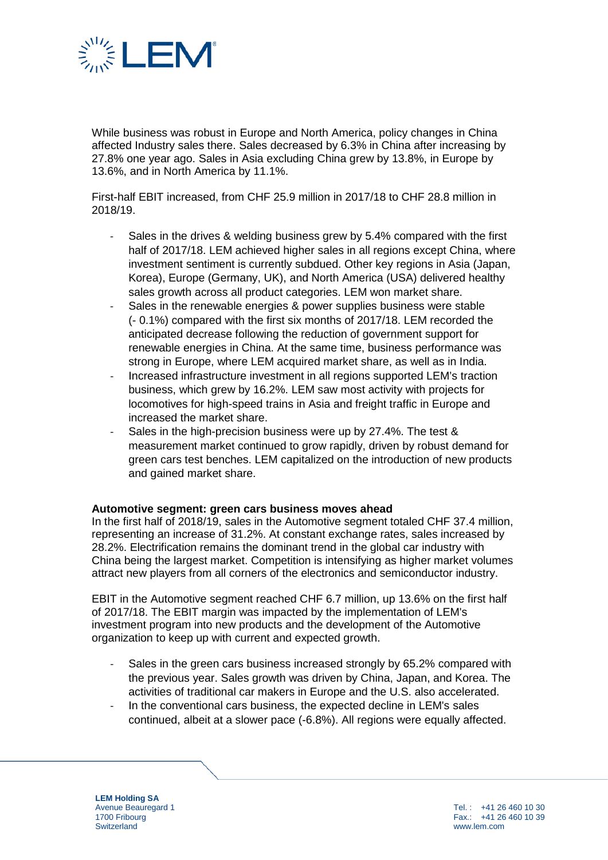

While business was robust in Europe and North America, policy changes in China affected Industry sales there. Sales decreased by 6.3% in China after increasing by 27.8% one year ago. Sales in Asia excluding China grew by 13.8%, in Europe by 13.6%, and in North America by 11.1%.

First-half EBIT increased, from CHF 25.9 million in 2017/18 to CHF 28.8 million in 2018/19.

- Sales in the drives & welding business grew by 5.4% compared with the first half of 2017/18. LEM achieved higher sales in all regions except China, where investment sentiment is currently subdued. Other key regions in Asia (Japan, Korea), Europe (Germany, UK), and North America (USA) delivered healthy sales growth across all product categories. LEM won market share.
- Sales in the renewable energies & power supplies business were stable (- 0.1%) compared with the first six months of 2017/18. LEM recorded the anticipated decrease following the reduction of government support for renewable energies in China. At the same time, business performance was strong in Europe, where LEM acquired market share, as well as in India.
- Increased infrastructure investment in all regions supported LEM's traction business, which grew by 16.2%. LEM saw most activity with projects for locomotives for high-speed trains in Asia and freight traffic in Europe and increased the market share.
- Sales in the high-precision business were up by 27.4%. The test & measurement market continued to grow rapidly, driven by robust demand for green cars test benches. LEM capitalized on the introduction of new products and gained market share.

#### **Automotive segment: green cars business moves ahead**

In the first half of 2018/19, sales in the Automotive segment totaled CHF 37.4 million, representing an increase of 31.2%. At constant exchange rates, sales increased by 28.2%. Electrification remains the dominant trend in the global car industry with China being the largest market. Competition is intensifying as higher market volumes attract new players from all corners of the electronics and semiconductor industry.

EBIT in the Automotive segment reached CHF 6.7 million, up 13.6% on the first half of 2017/18. The EBIT margin was impacted by the implementation of LEM's investment program into new products and the development of the Automotive organization to keep up with current and expected growth.

- Sales in the green cars business increased strongly by 65.2% compared with the previous year. Sales growth was driven by China, Japan, and Korea. The activities of traditional car makers in Europe and the U.S. also accelerated.
- In the conventional cars business, the expected decline in LEM's sales continued, albeit at a slower pace (-6.8%). All regions were equally affected.

**LEM Holding SA** Avenue Beauregard 1 1700 Fribourg **Switzerland** 

Tel. : +41 26 460 10 30  $Fax: 441.26.460.10.39$ www.lem.com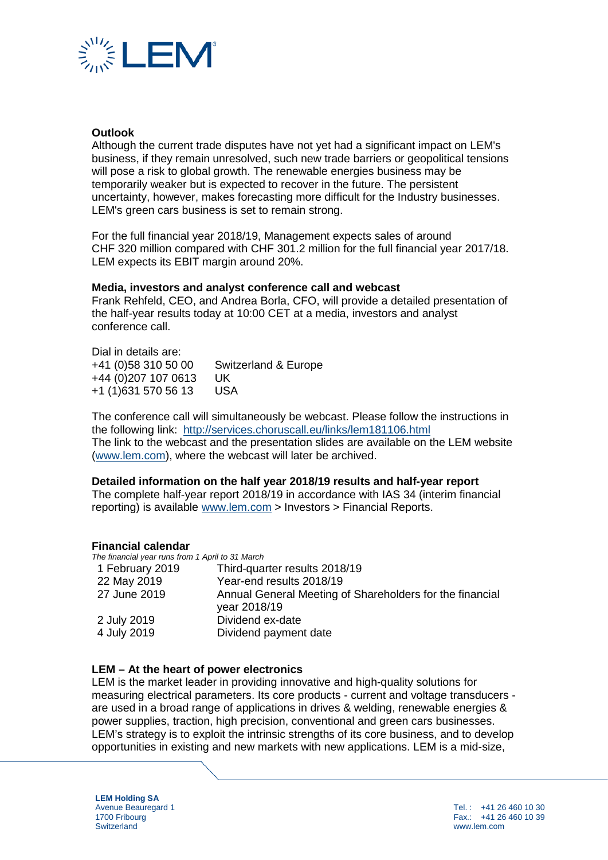

### **Outlook**

Although the current trade disputes have not yet had a significant impact on LEM's business, if they remain unresolved, such new trade barriers or geopolitical tensions will pose a risk to global growth. The renewable energies business may be temporarily weaker but is expected to recover in the future. The persistent uncertainty, however, makes forecasting more difficult for the Industry businesses. LEM's green cars business is set to remain strong.

For the full financial year 2018/19, Management expects sales of around CHF 320 million compared with CHF 301.2 million for the full financial year 2017/18. LEM expects its EBIT margin around 20%.

#### **Media, investors and analyst conference call and webcast**

Frank Rehfeld, CEO, and Andrea Borla, CFO, will provide a detailed presentation of the half-year results today at 10:00 CET at a media, investors and analyst conference call.

Dial in details are: +41 (0)58 310 50 00 Switzerland & Europe +44 (0)207 107 0613 UK +1 (1)631 570 56 13 USA

The conference call will simultaneously be webcast. Please follow the instructions in the following link: <http://services.choruscall.eu/links/lem181106.html> The link to the webcast and the presentation slides are available on the LEM website [\(www.lem.com\)](http://www.lem.com/), where the webcast will later be archived.

#### **Detailed information on the half year 2018/19 results and half-year report**

The complete half-year report 2018/19 in accordance with IAS 34 (interim financial reporting) is available [www.lem.com](http://www.lem.com/) > Investors > Financial Reports.

#### **Financial calendar**

*The financial year runs from 1 April to 31 March*

| 1 February 2019 | Third-quarter results 2018/19                                            |
|-----------------|--------------------------------------------------------------------------|
| 22 May 2019     | Year-end results 2018/19                                                 |
| 27 June 2019    | Annual General Meeting of Shareholders for the financial<br>year 2018/19 |
| 2 July 2019     | Dividend ex-date                                                         |
| 4 July 2019     | Dividend payment date                                                    |

#### **LEM – At the heart of power electronics**

LEM is the market leader in providing innovative and high-quality solutions for measuring electrical parameters. Its core products - current and voltage transducers are used in a broad range of applications in drives & welding, renewable energies & power supplies, traction, high precision, conventional and green cars businesses. LEM's strategy is to exploit the intrinsic strengths of its core business, and to develop opportunities in existing and new markets with new applications. LEM is a mid-size,

**LEM Holding SA** Avenue Beauregard 1 1700 Fribourg **Switzerland** 

Tel. : +41 26 460 10 30 Fax.: +41 26 460 10 39 www.lem.com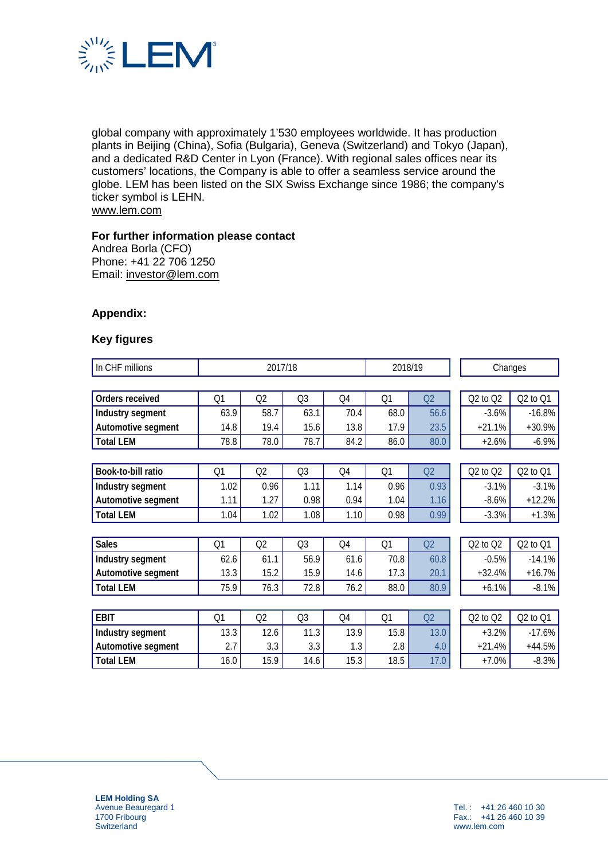

global company with approximately 1'530 employees worldwide. It has production plants in Beijing (China), Sofia (Bulgaria), Geneva (Switzerland) and Tokyo (Japan), and a dedicated R&D Center in Lyon (France). With regional sales offices near its customers' locations, the Company is able to offer a seamless service around the globe. LEM has been listed on the SIX Swiss Exchange since 1986; the company's ticker symbol is LEHN. [www.lem.com](http://www.lem.com/)

### **For further information please contact**

Andrea Borla (CFO) Phone: +41 22 706 1250 Email: [investor@lem.com](mailto:investor@lem.com)

## **Appendix:**

#### **Key figures**

| In CHF millions    | 2017/18 |      |                | 2018/19 |      | Changes        |              |          |  |
|--------------------|---------|------|----------------|---------|------|----------------|--------------|----------|--|
|                    |         |      |                |         |      |                |              |          |  |
| Orders received    | Q1      | Q2   | Q3             | Q4      | Q1   | Q2             | $Q2$ to $Q2$ | Q2 to Q1 |  |
| Industry segment   | 63.9    | 58.7 | 63.1           | 70.4    | 68.0 | 56.6           | $-3.6%$      | $-16.8%$ |  |
| Automotive segment | 14.8    | 19.4 | 15.6           | 13.8    | 17.9 | 23.5           | $+21.1%$     | $+30.9%$ |  |
| <b>Total LEM</b>   | 78.8    | 78.0 | 78.7           | 84.2    | 86.0 | 80.0           | $+2.6%$      | $-6.9%$  |  |
|                    |         |      |                |         |      |                |              |          |  |
| Book-to-bill ratio | Q1      | Q2   | Q3             | Q4      | Q1   | Q <sub>2</sub> | Q2 to Q2     | Q2 to Q1 |  |
| Industry segment   | 1.02    | 0.96 | 1.11           | 1.14    | 0.96 | 0.93           | $-3.1%$      | $-3.1%$  |  |
| Automotive segment | 1.11    | 1.27 | 0.98           | 0.94    | 1.04 | 1.16           | $-8.6%$      | $+12.2%$ |  |
| <b>Total LEM</b>   | 1.04    | 1.02 | 1.08           | 1.10    | 0.98 | 0.99           | $-3.3%$      | $+1.3%$  |  |
|                    |         |      |                |         |      |                |              |          |  |
| <b>Sales</b>       | Q1      | Q2   | Q <sub>3</sub> | Q4      | Q1   | Q <sub>2</sub> | $Q2$ to $Q2$ | Q2 to Q1 |  |
| Industry segment   | 62.6    | 61.1 | 56.9           | 61.6    | 70.8 | 60.8           | $-0.5%$      | $-14.1%$ |  |
| Automotive segment | 13.3    | 15.2 | 15.9           | 14.6    | 17.3 | 20.1           | $+32.4%$     | $+16.7%$ |  |
| <b>Total LEM</b>   | 75.9    | 76.3 | 72.8           | 76.2    | 88.0 | 80.9           | $+6.1%$      | $-8.1%$  |  |
|                    |         |      |                |         |      |                |              |          |  |
| <b>EBIT</b>        | Q1      | Q2   | Q3             | Q4      | Q1   | Q <sub>2</sub> | $Q2$ to $Q2$ | Q2 to Q1 |  |
| Industry segment   | 13.3    | 12.6 | 11.3           | 13.9    | 15.8 | 13.0           | $+3.2%$      | $-17.6%$ |  |
| Automotive segment | 2.7     | 3.3  | 3.3            | 1.3     | 2.8  | 4.0            | $+21.4%$     | $+44.5%$ |  |
| <b>Total LEM</b>   | 16.0    | 15.9 | 14.6           | 15.3    | 18.5 | 17.0           | $+7.0%$      | $-8.3%$  |  |